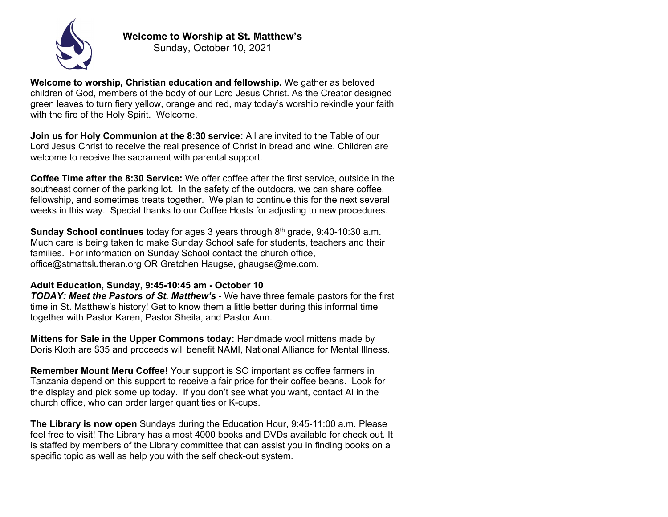

**Welcome to Worship at St. Matthew's**

Sunday, October 10, 2021

**Welcome to worship, Christian education and fellowship.** We gather as beloved children of God, members of the body of our Lord Jesus Christ. As the Creator designed green leaves to turn fiery yellow, orange and red, may today's worship rekindle your faith with the fire of the Holy Spirit. Welcome.

**Join us for Holy Communion at the 8:30 service:** All are invited to the Table of our Lord Jesus Christ to receive the real presence of Christ in bread and wine. Children are welcome to receive the sacrament with parental support.

**Coffee Time after the 8:30 Service:** We offer coffee after the first service, outside in the southeast corner of the parking lot. In the safety of the outdoors, we can share coffee, fellowship, and sometimes treats together. We plan to continue this for the next several weeks in this way. Special thanks to our Coffee Hosts for adjusting to new procedures.

**Sunday School continues** today for ages 3 years through 8th grade, 9:40-10:30 a.m. Much care is being taken to make Sunday School safe for students, teachers and their families. For information on Sunday School contact the church office, office@stmattslutheran.org OR Gretchen Haugse, ghaugse@me.com.

## **Adult Education, Sunday, 9:45-10:45 am - October 10**

*TODAY: Meet the Pastors of St. Matthew's* - We have three female pastors for the first time in St. Matthew's history! Get to know them a little better during this informal time together with Pastor Karen, Pastor Sheila, and Pastor Ann.

**Mittens for Sale in the Upper Commons today:** Handmade wool mittens made by Doris Kloth are \$35 and proceeds will benefit NAMI, National Alliance for Mental Illness.

**Remember Mount Meru Coffee!** Your support is SO important as coffee farmers in Tanzania depend on this support to receive a fair price for their coffee beans. Look for the display and pick some up today. If you don't see what you want, contact Al in the church office, who can order larger quantities or K-cups.

**The Library is now open** Sundays during the Education Hour, 9:45-11:00 a.m. Please feel free to visit! The Library has almost 4000 books and DVDs available for check out. It is staffed by members of the Library committee that can assist you in finding books on a specific topic as well as help you with the self check-out system.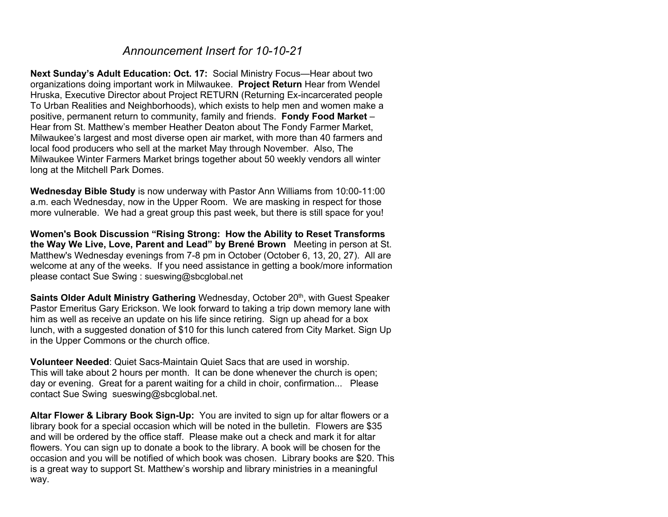## *Announcement Insert for 10-10-21*

**Next Sunday's Adult Education: Oct. 17:** Social Ministry Focus—Hear about two organizations doing important work in Milwaukee. **Project Return** Hear from Wendel Hruska, Executive Director about Project RETURN (Returning Ex-incarcerated people To Urban Realities and Neighborhoods), which exists to help men and women make a positive, permanent return to community, family and friends. **Fondy Food Market** – Hear from St. Matthew's member Heather Deaton about The Fondy Farmer Market, Milwaukee's largest and most diverse open air market, with more than 40 farmers and local food producers who sell at the market May through November. Also, The Milwaukee Winter Farmers Market brings together about 50 weekly vendors all winter long at the Mitchell Park Domes.

**Wednesday Bible Study** is now underway with Pastor Ann Williams from 10:00-11:00 a.m. each Wednesday, now in the Upper Room. We are masking in respect for those more vulnerable. We had a great group this past week, but there is still space for you!

**Women's Book Discussion "Rising Strong: How the Ability to Reset Transforms the Way We Live, Love, Parent and Lead" by Brené Brown** Meeting in person at St. Matthew's Wednesday evenings from 7-8 pm in October (October 6, 13, 20, 27). All are welcome at any of the weeks. If you need assistance in getting a book/more information please contact Sue Swing : sueswing@sbcglobal.net

**Saints Older Adult Ministry Gathering** Wednesday, October 20<sup>th</sup>, with Guest Speaker Pastor Emeritus Gary Erickson. We look forward to taking a trip down memory lane with him as well as receive an update on his life since retiring. Sign up ahead for a box lunch, with a suggested donation of \$10 for this lunch catered from City Market. Sign Up in the Upper Commons or the church office.

**Volunteer Needed**: Quiet Sacs-Maintain Quiet Sacs that are used in worship. This will take about 2 hours per month. It can be done whenever the church is open; day or evening. Great for a parent waiting for a child in choir, confirmation... Please contact Sue Swing sueswing@sbcglobal.net.

**Altar Flower & Library Book Sign-Up:** You are invited to sign up for altar flowers or a library book for a special occasion which will be noted in the bulletin. Flowers are \$35 and will be ordered by the office staff. Please make out a check and mark it for altar flowers. You can sign up to donate a book to the library. A book will be chosen for the occasion and you will be notified of which book was chosen. Library books are \$20. This is a great way to support St. Matthew's worship and library ministries in a meaningful way.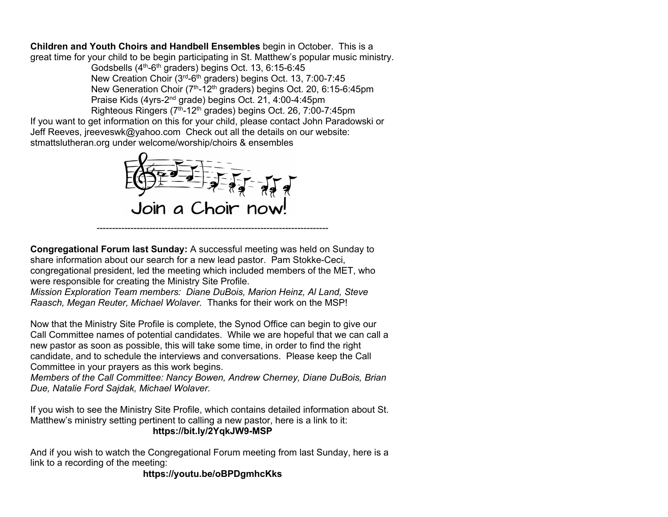**Children and Youth Choirs and Handbell Ensembles** begin in October. This is a great time for your child to be begin participating in St. Matthew's popular music ministry.

> Godsbells (4<sup>th</sup>-6<sup>th</sup> graders) begins Oct. 13, 6:15-6:45 New Creation Choir (3rd-6th graders) begins Oct. 13, 7:00-7:45 New Generation Choir (7<sup>th</sup>-12<sup>th</sup> graders) begins Oct. 20, 6:15-6:45pm Praise Kids (4yrs-2nd grade) begins Oct. 21, 4:00-4:45pm Righteous Ringers (7<sup>th</sup>-12<sup>th</sup> grades) begins Oct. 26, 7:00-7:45pm

If you want to get information on this for your child, please contact John Paradowski or Jeff Reeves, jreeveswk@yahoo.com Check out all the details on our website: stmattslutheran.org under welcome/worship/choirs & ensembles



**Congregational Forum last Sunday:** A successful meeting was held on Sunday to share information about our search for a new lead pastor. Pam Stokke-Ceci, congregational president, led the meeting which included members of the MET, who were responsible for creating the Ministry Site Profile.

*Mission Exploration Team members: Diane DuBois, Marion Heinz, Al Land, Steve Raasch, Megan Reuter, Michael Wolaver.* Thanks for their work on the MSP!

Now that the Ministry Site Profile is complete, the Synod Office can begin to give our Call Committee names of potential candidates. While we are hopeful that we can call a new pastor as soon as possible, this will take some time, in order to find the right candidate, and to schedule the interviews and conversations. Please keep the Call Committee in your prayers as this work begins.

*Members of the Call Committee: Nancy Bowen, Andrew Cherney, Diane DuBois, Brian Due, Natalie Ford Sajdak, Michael Wolaver.*

If you wish to see the Ministry Site Profile, which contains detailed information about St. Matthew's ministry setting pertinent to calling a new pastor, here is a link to it: **https://bit.ly/2YqkJW9-MSP**

And if you wish to watch the Congregational Forum meeting from last Sunday, here is a link to a recording of the meeting:

**https://youtu.be/oBPDgmhcKks**